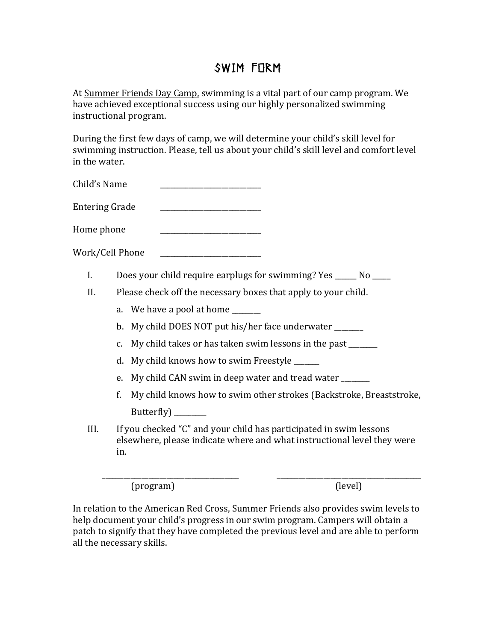## Swim Form

At Summer Friends Day Camp, swimming is a vital part of our camp program. We have achieved exceptional success using our highly personalized swimming instructional program.

During the first few days of camp, we will determine your child's skill level for swimming instruction. Please, tell us about your child's skill level and comfort level in the water.

Child's Name

Entering!Grade \_\_\_\_\_\_\_\_\_\_\_\_\_\_\_\_\_\_\_\_\_\_\_\_\_\_\_\_

Home phone

Work/Cell Phone

- I. Does your child require earplugs for swimming? Yes  $\frac{1}{\sqrt{2}}$  No  $\frac{1}{\sqrt{2}}$
- II. Please check off the necessary boxes that apply to your child.
	- a. We have a pool at home
	- b. My child DOES NOT put his/her face underwater
	- c. My child takes or has taken swim lessons in the past
	- d. My child knows how to swim Freestyle \_\_\_\_\_\_
	- e. My child CAN swim in deep water and tread water \_\_\_\_\_\_\_
	- f. My child knows how to swim other strokes (Backstroke, Breaststroke, Butterfly)
- III. If you checked "C" and your child has participated in swim lessons elsewhere, please indicate where and what instructional level they were in.

\_\_\_\_\_\_\_\_\_\_\_\_\_\_\_\_\_\_\_\_\_\_\_\_\_\_\_\_\_\_\_\_\_\_\_\_\_\_ \_\_\_\_\_\_\_\_\_\_\_\_\_\_\_\_\_\_\_\_\_\_\_\_\_\_\_\_\_\_\_\_\_\_\_\_\_\_\_\_

(program) (level)

In relation to the American Red Cross, Summer Friends also provides swim levels to help document your child's progress in our swim program. Campers will obtain a patch to signify that they have completed the previous level and are able to perform all the necessary skills.